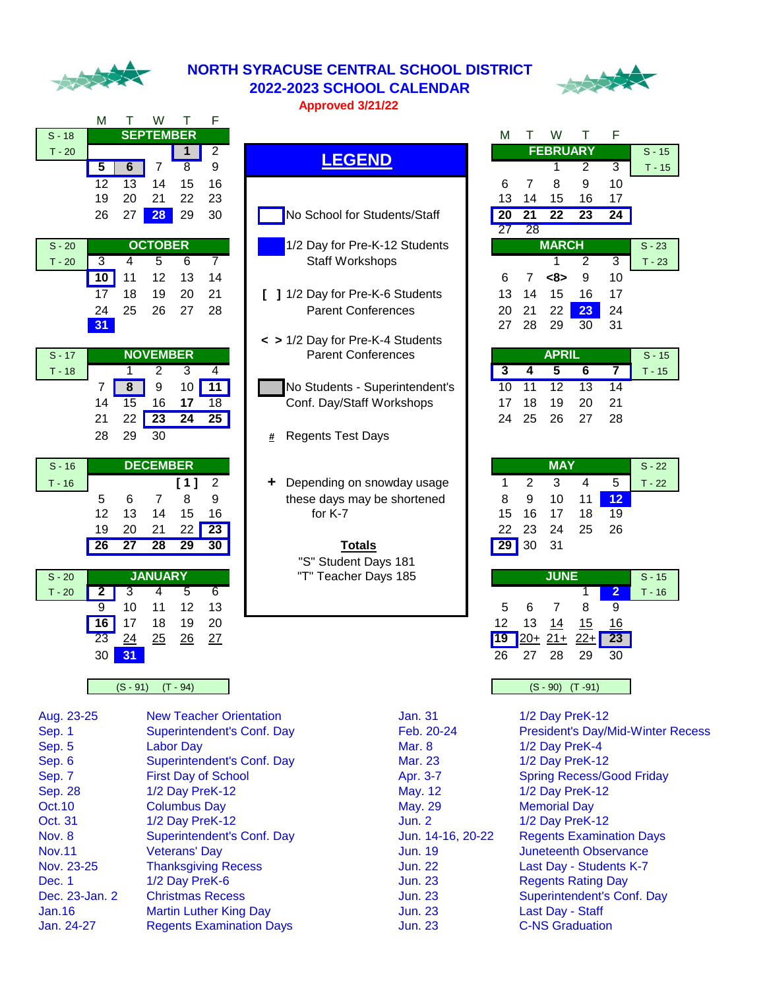

#### **NORTH SYRACUSE CENTRAL SCHOOL DISTRICT 2022-2023 SCHOOL CALENDAR Approved 3/21/22**



|          | м  |    | w                |    | F  |
|----------|----|----|------------------|----|----|
| $S - 18$ |    |    | <b>SEPTEMBER</b> |    |    |
| $T - 20$ |    |    |                  |    | 2  |
|          | 5  | 6  |                  | 8  | 9  |
|          | 12 | 13 | 14               | 15 | 16 |
|          | 19 | 20 | 21               | 22 | 23 |
|          | 26 | 27 | 28               | 29 | 30 |

| $S - 20$ |    | <b>OCTOBER</b> |       |     |    |  |  |  |  |  |  |
|----------|----|----------------|-------|-----|----|--|--|--|--|--|--|
| $T - 20$ | 3  |                | 5     | 6   |    |  |  |  |  |  |  |
|          | 10 | 11             | 12 13 |     | 14 |  |  |  |  |  |  |
|          | 17 | 18             | 19    | -20 | 21 |  |  |  |  |  |  |
|          | 24 | 25             | 26 27 |     | 28 |  |  |  |  |  |  |
|          | 31 |                |       |     |    |  |  |  |  |  |  |

| $S - 17$ |    |         | <b>NOVEMBER</b> |    |    | <b>Parent Confere</b>    |
|----------|----|---------|-----------------|----|----|--------------------------|
| $T - 18$ |    |         |                 |    |    |                          |
|          |    |         |                 | 10 | 11 | No Students - Supe       |
|          | 14 | $15 \,$ | 16              | 17 | 18 | Conf. Day/Staff Wo       |
|          | 21 | 22      | 23              | 24 | 25 |                          |
|          | 28 | 29      | 30              |    |    | <b>Regents Test Days</b> |
|          |    |         |                 |    |    |                          |

| $S - 16$ | <b>DECEMBER</b> |    |    |     |    |  |  |  |  |  |  |
|----------|-----------------|----|----|-----|----|--|--|--|--|--|--|
| 16       |                 |    |    | [1] | 2  |  |  |  |  |  |  |
|          | 5               | 6  |    | 8   | 9  |  |  |  |  |  |  |
|          | 12              | 13 | 14 | 15  | 16 |  |  |  |  |  |  |
|          | 19              | 20 | 21 | 22  | 23 |  |  |  |  |  |  |
|          |                 | 27 | 28 |     |    |  |  |  |  |  |  |
|          |                 |    |    |     |    |  |  |  |  |  |  |

| $S - 20$ |    | <b>JANUARY</b> |    |    |    | "T" Teacher Days 185 |     |        | <b>JUNE</b> |            |                 |
|----------|----|----------------|----|----|----|----------------------|-----|--------|-------------|------------|-----------------|
| $T - 20$ |    |                |    |    |    |                      |     |        |             |            |                 |
|          | 9  | 10             | 11 | 12 | 13 |                      | 5   |        |             | 8          | 9               |
|          | 16 |                | 18 | 19 | 20 |                      | 12  | 13     | 14          | <u> 15</u> | 16              |
|          | 23 | 24             | 25 | 26 | 27 |                      | '19 | $120+$ | $21+$       | $22+$      | $\overline{23}$ |
|          | 30 | 31             |    |    |    |                      | 26  | 27     | 28          | 29         | 30              |

#### $(S - 91)$   $(T - 94)$

| Aug. 23-25     | <b>New Teacher Orientation</b>  |
|----------------|---------------------------------|
| Sep. 1         | Superintendent's Conf. Day      |
| Sep. 5         | <b>Labor Day</b>                |
| Sep. 6         | Superintendent's Conf. Day      |
| Sep. 7         | <b>First Day of School</b>      |
| <b>Sep. 28</b> | 1/2 Day PreK-12                 |
| Oct. 10        | <b>Columbus Day</b>             |
| Oct. 31        | 1/2 Day PreK-12                 |
| Nov. 8         | Superintendent's Conf. Day      |
| Nov.11         | <b>Veterans' Day</b>            |
| Nov. 23-25     | <b>Thanksgiving Recess</b>      |
| Dec. 1         | 1/2 Day PreK-6                  |
| Dec. 23-Jan. 2 | <b>Christmas Recess</b>         |
| Jan.16         | Martin Luther King Day          |
| Jan. 24-27     | <b>Regents Examination Days</b> |

| טו-ט     |                          |                         | JLI ILMPLIV              |                          |                          |  |   |  |         |               |                                  |                                |  | IVI                     |                 | v v             |                 |                |          |
|----------|--------------------------|-------------------------|--------------------------|--------------------------|--------------------------|--|---|--|---------|---------------|----------------------------------|--------------------------------|--|-------------------------|-----------------|-----------------|-----------------|----------------|----------|
| $T - 20$ |                          |                         |                          | 1                        | $\overline{2}$           |  |   |  |         |               | <b>LEGEND</b>                    |                                |  |                         |                 |                 | <b>FEBRUARY</b> |                | $S - 15$ |
|          | $\overline{5}$           | 6                       | 7                        | $\overline{8}$           | 9                        |  |   |  |         |               |                                  |                                |  |                         |                 |                 | $\overline{2}$  | 3              | $T - 15$ |
|          | 12                       | 13                      | 14                       | 15                       | 16                       |  |   |  |         |               |                                  |                                |  | 6                       | 7               | 8               | 9               | 10             |          |
|          | 19                       | 20                      | 21                       | 22                       | 23                       |  |   |  |         |               |                                  |                                |  | 13                      | 14              | 15              | 16              | 17             |          |
|          | 26                       | 27                      | 28                       | 29                       | 30                       |  |   |  |         |               | No School for Students/Staff     |                                |  | 20                      | $\overline{21}$ | $\overline{22}$ | 23              | 24             |          |
|          |                          |                         |                          |                          |                          |  |   |  |         |               |                                  |                                |  | 27                      | $\overline{28}$ |                 |                 |                |          |
| $S - 20$ |                          |                         | <b>OCTOBER</b>           |                          |                          |  |   |  |         |               |                                  | 1/2 Day for Pre-K-12 Students  |  |                         |                 | <b>MARCH</b>    |                 |                | $S - 23$ |
| $T - 20$ | $\overline{3}$           | 4                       | 5                        | 6                        | $\overline{7}$           |  |   |  |         |               | Staff Workshops                  |                                |  |                         |                 |                 | $\overline{2}$  | $\overline{3}$ | $T - 23$ |
|          | 10                       | 11                      | 12                       | 13                       | 14                       |  |   |  |         |               |                                  |                                |  | 6                       | 7               | <8>             | 9               | 10             |          |
|          | 17                       | 18                      | 19                       | 20                       | 21                       |  |   |  |         |               | 1/2 Day for Pre-K-6 Students     |                                |  | 13                      | 14              | 15              | 16              | 17             |          |
|          | 24                       | 25                      | 26                       | 27                       | 28                       |  |   |  |         |               | <b>Parent Conferences</b>        |                                |  | 20                      | 21              | 22              | 23              | 24             |          |
|          | 31                       |                         |                          |                          |                          |  |   |  |         |               |                                  |                                |  | 27                      | 28              | 29              | 30              | 31             |          |
|          |                          |                         |                          |                          |                          |  |   |  |         |               | < > 1/2 Day for Pre-K-4 Students |                                |  |                         |                 |                 |                 |                |          |
| $S - 17$ |                          |                         | <b>NOVEMBER</b>          |                          |                          |  |   |  |         |               | <b>Parent Conferences</b>        |                                |  |                         |                 | <b>APRIL</b>    |                 |                | $S - 15$ |
| $T - 18$ |                          |                         | $\overline{2}$           | $\overline{3}$           | 4                        |  |   |  |         |               |                                  |                                |  | $\overline{\mathbf{3}}$ | 4               | $\overline{5}$  | 6               | 7              | $T - 15$ |
|          | 7                        | 8                       | 9                        | 10 <sup>1</sup>          | 11                       |  |   |  |         |               |                                  | No Students - Superintendent's |  | 10                      | $\overline{11}$ | 12              | 13              | 14             |          |
|          | 14                       | 15                      | 16                       | 17                       | $\overline{18}$          |  |   |  |         |               | Conf. Day/Staff Workshops        |                                |  | 17                      | 18              | 19              | 20              | 21             |          |
|          | 21                       | 22                      | 23                       | 24                       | 25                       |  |   |  |         |               |                                  |                                |  | 24                      | 25              | 26              | 27              | 28             |          |
|          | 28                       | 29                      | 30                       |                          |                          |  | # |  |         |               | <b>Regents Test Days</b>         |                                |  |                         |                 |                 |                 |                |          |
|          |                          |                         |                          |                          |                          |  |   |  |         |               |                                  |                                |  |                         |                 |                 |                 |                |          |
| $S - 16$ |                          |                         | <b>DECEMBER</b>          |                          |                          |  |   |  |         |               |                                  |                                |  |                         |                 | <b>MAY</b>      |                 |                | $S - 22$ |
| $T - 16$ |                          |                         |                          | [1]                      | $\overline{2}$           |  | ÷ |  |         |               |                                  | Depending on snowday usage     |  |                         | $\overline{2}$  | 3               | 4               | 5              | $T - 22$ |
|          | 5                        | 6                       | 7                        | 8                        | 9                        |  |   |  |         |               | these days may be shortened      |                                |  | 8                       | 9               | 10              | 11              | 12             |          |
|          | 12                       | 13                      | 14                       | 15                       | 16                       |  |   |  | for K-7 |               |                                  |                                |  | 15                      | 16              | 17              | 18              | 19             |          |
|          | 19                       | 20                      | 21                       | 22                       | 23                       |  |   |  |         |               |                                  |                                |  | 22                      | 23              | 24              | 25              | 26             |          |
|          | $\overline{\phantom{a}}$ | $\overline{\mathbf{a}}$ | $\overline{\phantom{0}}$ | $\overline{\phantom{a}}$ | $\overline{\phantom{a}}$ |  |   |  |         | $T - 1 - 1 -$ |                                  |                                |  | <b>DOO</b>              | $\Omega$        | $\sim$          |                 |                |          |

| $S - 18$ |                         |                 | <b>SEPTEMBER</b> |                 |                  |   |  |                          |                                  |  | М                       | т                    | W               | т               | F               |                            |
|----------|-------------------------|-----------------|------------------|-----------------|------------------|---|--|--------------------------|----------------------------------|--|-------------------------|----------------------|-----------------|-----------------|-----------------|----------------------------|
| $T - 20$ |                         |                 |                  |                 | $\overline{2}$   |   |  |                          |                                  |  |                         |                      | <b>FEBRUARY</b> |                 |                 | $S - 15$                   |
|          | $\overline{5}$          | 6               | 7                | $\overline{8}$  | 9                |   |  |                          | <b>LEGEND</b>                    |  |                         |                      |                 | $\overline{2}$  | 3               | $T - 15$                   |
|          | $\overline{12}$         | $\overline{13}$ | 14               | 15              | 16               |   |  |                          |                                  |  | 6                       | 7                    | 8               | 9               | 10              |                            |
|          | 19                      | 20              | 21               | 22              | 23               |   |  |                          |                                  |  | 13                      | 14                   | 15              | 16              | 17              |                            |
|          | 26                      | 27              | 28               | 29              | 30               |   |  |                          | No School for Students/Staff     |  | $\overline{20}$         | $\overline{21}$      | $\overline{22}$ | $\overline{23}$ | 24              |                            |
|          |                         |                 |                  |                 |                  |   |  |                          |                                  |  | $\overline{27}$         | 28                   |                 |                 |                 |                            |
| $S - 20$ |                         |                 | <b>OCTOBER</b>   |                 |                  |   |  |                          | 1/2 Day for Pre-K-12 Students    |  |                         |                      | <b>MARCH</b>    |                 |                 | $S - 23$                   |
| $T - 20$ | $\overline{3}$          | 4               | 5                | 6               | $\overline{7}$   |   |  |                          | <b>Staff Workshops</b>           |  |                         |                      |                 | 2               | $\overline{3}$  | $T - 23$                   |
|          | 10                      | 11              | 12               | 13              | 14               |   |  |                          |                                  |  | 6                       | $\overline{7}$       | <8>             | 9               | 10              |                            |
|          | 17                      | 18              | 19               | 20              | 21               |   |  |                          | 1 1/2 Day for Pre-K-6 Students   |  | 13                      | 14                   | 15              | 16              | 17              |                            |
|          | 24                      | 25              | 26               | 27              | 28               |   |  |                          | <b>Parent Conferences</b>        |  | 20                      | 21                   | 22              | 23              | 24              |                            |
|          | 31                      |                 |                  |                 |                  |   |  |                          |                                  |  | 27                      | 28                   | 29              | 30              | 31              |                            |
|          |                         |                 |                  |                 |                  |   |  |                          | < > 1/2 Day for Pre-K-4 Students |  |                         |                      |                 |                 |                 |                            |
| $S - 17$ |                         |                 | <b>NOVEMBER</b>  |                 |                  |   |  |                          | <b>Parent Conferences</b>        |  |                         |                      | <b>APRIL</b>    |                 |                 | $\overline{\text{S}}$ - 15 |
| $T - 18$ |                         |                 | 2                | 3               | $\overline{4}$   |   |  |                          |                                  |  | $\overline{\mathbf{3}}$ | 4                    | 5               | 6               | 7               | $T - 15$                   |
|          | 7                       | 8               | $\boldsymbol{9}$ | 10              | $\overline{11}$  |   |  |                          | No Students - Superintendent's   |  | 10                      | $\overline{11}$      | $\overline{12}$ | $\overline{13}$ | 14              |                            |
|          | 14                      | $\overline{15}$ | 16               | 17              | 18               |   |  |                          | Conf. Day/Staff Workshops        |  | 17                      | 18                   | 19              | 20              | 21              |                            |
|          | 21                      | 22              | $\overline{23}$  | 24              | 25               |   |  |                          |                                  |  | 24                      | 25                   | 26              | 27              | 28              |                            |
|          | 28                      | 29              | 30               |                 |                  | # |  | <b>Regents Test Days</b> |                                  |  |                         |                      |                 |                 |                 |                            |
|          |                         |                 |                  |                 |                  |   |  |                          |                                  |  |                         |                      |                 |                 |                 |                            |
| $S - 16$ |                         |                 | <b>DECEMBER</b>  |                 |                  |   |  |                          |                                  |  |                         |                      | <b>MAY</b>      |                 |                 | $S - 22$                   |
| $T - 16$ |                         |                 |                  | [1]             | $\overline{2}$   | ٠ |  |                          | Depending on snowday usage       |  | 1                       | $\overline{2}$       | 3               | 4               | 5               | $T - 22$                   |
|          | 5                       | 6               | 7                | 8               | $\boldsymbol{9}$ |   |  |                          | these days may be shortened      |  | 8                       | 9                    | 10              | 11              | 12              |                            |
|          | 12                      | 13              | 14               | 15              | 16               |   |  | for K-7                  |                                  |  | 15                      | 16                   | 17              | 18              | $\overline{19}$ |                            |
|          | 19                      | 20              | 21               | 22              | $\overline{23}$  |   |  |                          |                                  |  | 22                      | 23                   | 24              | 25              | 26              |                            |
|          | $\overline{26}$         | $\overline{27}$ | $\overline{28}$  | $\overline{29}$ | 30               |   |  |                          | <b>Totals</b>                    |  | 29                      | 30                   | 31              |                 |                 |                            |
|          |                         |                 |                  |                 |                  |   |  |                          | "S" Student Days 181             |  |                         |                      |                 |                 |                 |                            |
| $S - 20$ |                         |                 | <b>JANUARY</b>   |                 |                  |   |  |                          | "T" Teacher Days 185             |  |                         |                      | <b>JUNE</b>     |                 |                 | $S - 15$                   |
| $T - 20$ | $\overline{\mathbf{2}}$ | 3               | 4                | 5               | 6                |   |  |                          |                                  |  |                         |                      |                 |                 | $\overline{2}$  | $T - 16$                   |
|          | $\overline{9}$          | 10              | 11               | 12              | 13               |   |  |                          |                                  |  | 5                       | 6                    | 7               | 8               | 9               |                            |
|          | $\overline{16}$         | 17              | 18               | 19              | 20               |   |  |                          |                                  |  | 12                      | 13                   | 14              | 15              | 16              |                            |
|          | $\overline{23}$         | 24              | 25               | 26              | 27               |   |  |                          |                                  |  | <b>19</b>               | $\frac{120+21+}{20}$ |                 | $22+$           | 23              |                            |

| lan. 31<br><sup>:</sup> eb. 20-24<br>/lar. 8<br>1ar. 23<br>pr. 3-7<br>Aay. 12<br>Aay. 29<br>lun. 2<br>un. 14-16, 20-22<br>lun. 19<br>lun. 22<br>lun. 23<br>lun. 23<br>lun. 23<br>lun. 23 |
|------------------------------------------------------------------------------------------------------------------------------------------------------------------------------------------|
|                                                                                                                                                                                          |

| м               |                 | vv              |                | ⊢              |          |
|-----------------|-----------------|-----------------|----------------|----------------|----------|
|                 |                 | <b>FEBRUARY</b> |                |                | $S - 15$ |
|                 |                 | 1               | $\overline{2}$ | $\overline{3}$ | $T - 15$ |
| 6               | 7               | 8               | 9              | 10             |          |
| 13              | 14              | 15              | 16             | 17             |          |
| $\overline{20}$ | 21              | 22              | 23             | 24             |          |
|                 |                 |                 |                |                |          |
| $\overline{27}$ | $\overline{28}$ |                 |                |                |          |
|                 |                 | <b>MARCH</b>    |                |                | $S - 23$ |
|                 |                 | 1               | 2              | 3              | $T - 23$ |
| 6               | 7               | <8>             | 9              | 10             |          |
| 13              | 14              | 15              | 16             | 17             |          |

|   | <b>APRIL</b> | $S - 15$    |   |      |          |
|---|--------------|-------------|---|------|----------|
| 3 |              | 5.          | 6 |      | $T - 15$ |
|   |              | 10 11 12 13 |   | 14   |          |
|   |              | 17 18 19 20 |   | - 21 |          |
|   |              | 24 25 26 27 |   | 28   |          |

|    |          | $S - 22$ |      |    |          |
|----|----------|----------|------|----|----------|
|    | 2        | -3       |      | 5  | $T - 22$ |
| 8  | 9        | -10      | 11   | 12 |          |
|    | 15 16    | 17       | 18   | 19 |          |
|    | 22 23 24 |          | - 25 | 26 |          |
| 29 | 30       | 31       |      |    |          |

|    | $S - 15$ |               |    |    |          |
|----|----------|---------------|----|----|----------|
|    |          |               |    |    | $T - 16$ |
| 5  | 6        |               | 8  | 9  |          |
| 12 | 13       | 14            | 15 | 16 |          |
| 19 |          | $20+ 21+ 22+$ |    | 23 |          |
| 26 | 27       | - 28          | 29 | 30 |          |

|  |  |  | - 90) (T -91) |  |
|--|--|--|---------------|--|
|--|--|--|---------------|--|

Jan. 31 1/2 Day PreK-12 Feb. 20-24 President's Day/Mid-Winter Recess Mar. 8 **1/2 Day PreK-4** Mar. 23 1/2 Day PreK-12 Apr. 3-7 **Spring Recess/Good Friday** May. 12 1/2 Day PreK-12 May. 29 Memorial Day Oct. 31 1/2 Day PreK-12 Jun. 2 1/2 Day PreK-12 Jun. 14-16, 20-22 Regents Examination Days Jun. 19 Juneteenth Observance Jun. 22 Last Day - Students K-7 Jun. 23 Regents Rating Day Jun. 23 Superintendent's Conf. Day Jun. 23 Last Day - Staff Jun. 23 C-NS Graduation